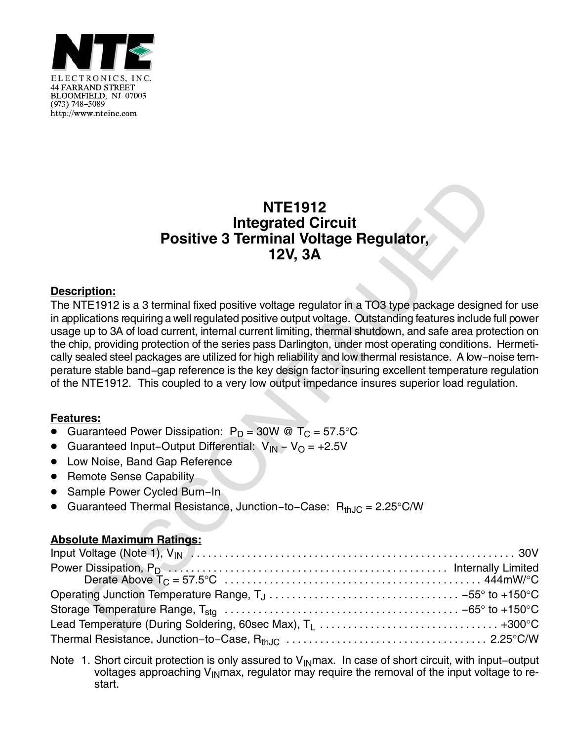

## **NTE1912 Integrated Circuit Positive 3 Terminal Voltage Regulator, 12V, 3A**

## **Description:**

The NTE1912 is a 3 terminal fixed positive voltage regulator in a TO3 type package designed for use in applications requiring a well regulated positive output voltage. Outstanding features include full power usage up to 3A of load current, internal current limiting, thermal shutdown, and safe area protection on the chip, providing protection of the series pass Darlington, under most operating conditions. Hermetically sealed steel packages are utilized for high reliability and low thermal resistance. A low−noise temperature stable band−gap reference is the key design factor insuring excellent temperature regulation of the NTE1912. This coupled to a very low output impedance insures superior load regulation.

## **Features:**

- $\overline{\bullet}$ Guaranteed Power Dissipation:  $P_D = 30W \otimes T_C = 57.5^{\circ}C$
- Guaranteed Input−Output Differential: VIN − VO = +2.5V
- **•** Low Noise, Band Gap Reference
- Remote Sense Capability
- Sample Power Cycled Burn−In
- $\bullet$ Guaranteed Thermal Resistance, Junction–to–Case: R<sub>thJC</sub> = 2.25°C/W

## **Absolute Maximum Ratings:**

Note 1. Short circuit protection is only assured to V<sub>IN</sub>max. In case of short circuit, with input–output voltages approaching V<sub>IN</sub>max, regulator may require the removal of the input voltage to restart.